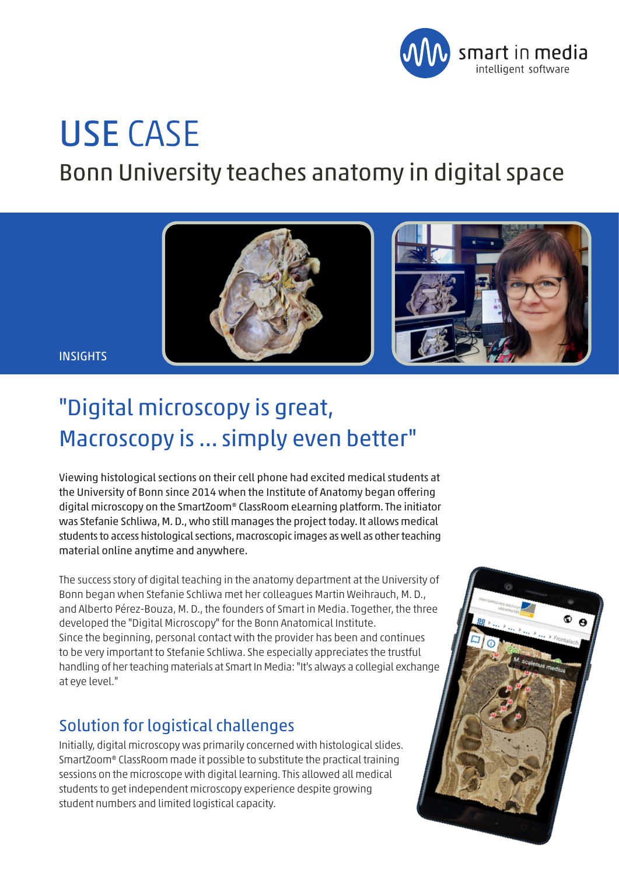

# USE CASE

Bonn University teaches anatomy in digital space



**INSIGHTS** 

## "Digital microscopy is great, Macroscopy is ... simply even better"

Viewing histological sections on their cell phone had excited medical students at the University of Bonn since 2014 when the Institute of Anatomy began offering digital microscopy on the SmartZoom® ClassRoom eLearning platform. The initiator was Stefanie Schliwa, M. D., who still manages the project today. It allows medical students to access histological sections, macroscopic images as well as other teaching material online anytime and anywhere.

The success story of digital teaching in the anatomy department at the University of Bonn began when Stefanie Schliwa met her colleagues Martin Weihrauch, M. D., and Alberto Pérez-Bouza, M. D., the founders of Smart in Media. Together, the three developed the "Digital Microscopy" for the Bonn Anatomical Institute. Since the beginning, personal contact with the provider has been and continues to be very important to Stefanie Schliwa. She especially appreciates the trustful handling of her teaching materials at Smart In Media: "It's always a collegial exchange at eye level."

### Solution for logistical challenges

Initially, digital microscopy was primarily concerned with histological slides. SmartZoom® ClassRoom made it possible to substitute the practical training sessions on the microscope with digital learning. This allowed all medical students to get independent microscopy experience despite growing student numbers and limited logistical capacity.

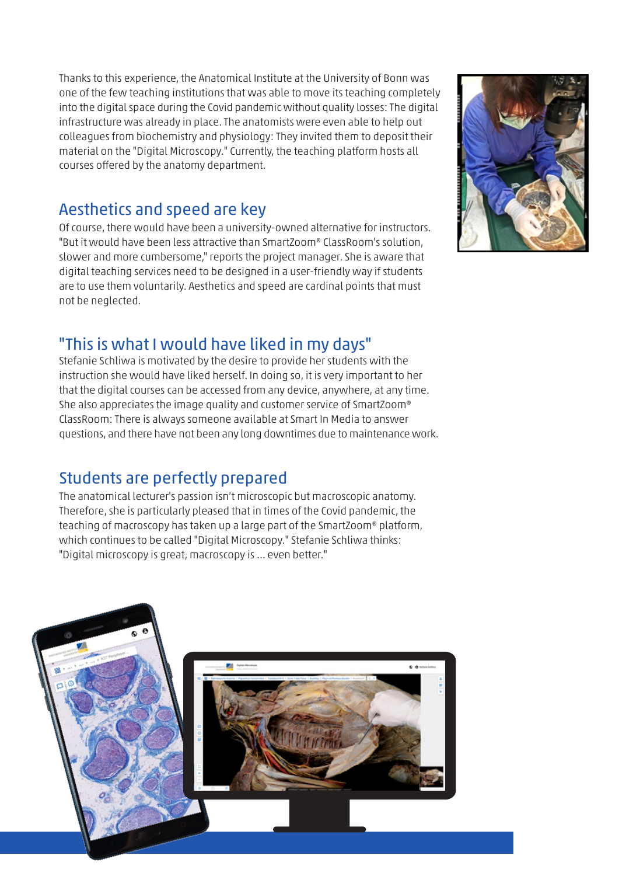Thanks to this experience, the Anatomical Institute at the University of Bonn was one of the few teaching institutions that was able to move its teaching completely into the digital space during the Covid pandemic without quality losses: The digital infrastructure was already in place. The anatomists were even able to help out colleagues from biochemistry and physiology: They invited them to deposit their material on the "Digital Microscopy." Currently, the teaching platform hosts all courses offered by the anatomy department.

#### Aesthetics and speed are key

Of course, there would have been a university-owned alternative for instructors. "But it would have been less attractive than SmartZoom® ClassRoom's solution, slower and more cumbersome," reports the project manager. She is aware that digital teaching services need to be designed in a user-friendly way if students are to use them voluntarily. Aesthetics and speed are cardinal points that must not be neglected.

#### "This is what I would have liked in my days"

Stefanie Schliwa is motivated by the desire to provide her students with the instruction she would have liked herself. In doing so, it is very important to her that the digital courses can be accessed from any device, anywhere, at any time. She also appreciates the image quality and customer service of SmartZoom® ClassRoom: There is always someone available at Smart In Media to answer questions, and there have not been any long downtimes due to maintenance work.

### Students are perfectly prepared

The anatomical lecturer's passion isn't microscopic but macroscopic anatomy. Therefore, she is particularly pleased that in times of the Covid pandemic, the teaching of macroscopy has taken up a large part of the SmartZoom® platform, which continues to be called "Digital Microscopy." Stefanie Schliwa thinks: "Digital microscopy is great, macroscopy is ... even better."